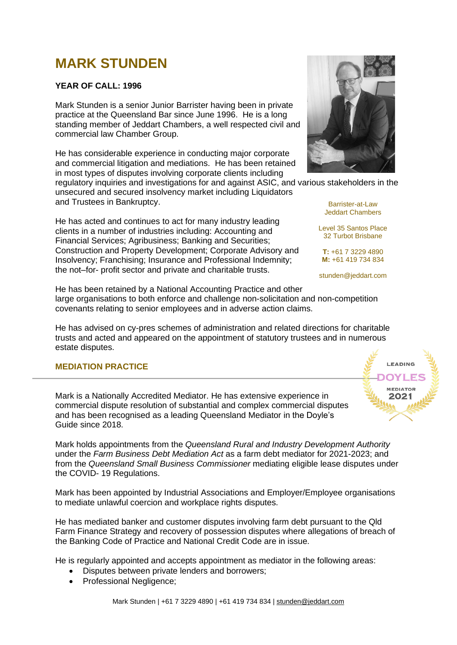# **MARK STUNDEN**

# **YEAR OF CALL: 1996**

Mark Stunden is a senior Junior Barrister having been in private practice at the Queensland Bar since June 1996. He is a long standing member of Jeddart Chambers, a well respected civil and commercial law Chamber Group.

He has considerable experience in conducting major corporate and commercial litigation and mediations. He has been retained in most types of disputes involving corporate clients including

regulatory inquiries and investigations for and against ASIC, and various stakeholders in the unsecured and secured insolvency market including Liquidators and Trustees in Bankruptcy.

He has acted and continues to act for many industry leading clients in a number of industries including: Accounting and Financial Services; Agribusiness; Banking and Securities; Construction and Property Development; Corporate Advisory and Insolvency; Franchising; Insurance and Professional Indemnity; the not–for- profit sector and private and charitable trusts.

He has been retained by a National Accounting Practice and other large organisations to both enforce and challenge non-solicitation and non-competition covenants relating to senior employees and in adverse action claims.

He has advised on cy-pres schemes of administration and related directions for charitable trusts and acted and appeared on the appointment of statutory trustees and in numerous estate disputes.

# **MEDIATION PRACTICE**

Mark is a Nationally Accredited Mediator. He has extensive experience in commercial dispute resolution of substantial and complex commercial disputes and has been recognised as a leading Queensland Mediator in the Doyle's Guide since 2018.

Mark holds appointments from the *Queensland Rural and Industry Development Authority* under the *Farm Business Debt Mediation Act* as a farm debt mediator for 2021-2023; and from the *Queensland Small Business Commissioner* mediating eligible lease disputes under the COVID- 19 Regulations.

Mark has been appointed by Industrial Associations and Employer/Employee organisations to mediate unlawful coercion and workplace rights disputes.

He has mediated banker and customer disputes involving farm debt pursuant to the Qld Farm Finance Strategy and recovery of possession disputes where allegations of breach of the Banking Code of Practice and National Credit Code are in issue.

He is regularly appointed and accepts appointment as mediator in the following areas:

- Disputes between private lenders and borrowers;
- Professional Negligence;



Barrister-at-Law Jeddart Chambers

Level 35 Santos Place 32 Turbot Brisbane

**T:** +61 7 3229 4890 **M:** +61 419 734 834

stunden@jeddart.com

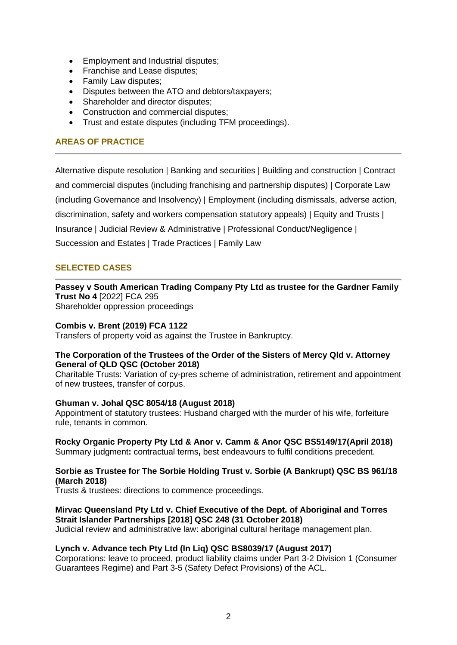- Employment and Industrial disputes;
- Franchise and Lease disputes;
- Family Law disputes:
- Disputes between the ATO and debtors/taxpayers;
- Shareholder and director disputes:
- Construction and commercial disputes;
- Trust and estate disputes (including TFM proceedings).

# **AREAS OF PRACTICE**

Alternative dispute resolution | Banking and securities | Building and construction | Contract and commercial disputes (including franchising and partnership disputes) | Corporate Law (including Governance and Insolvency) | Employment (including dismissals, adverse action, discrimination, safety and workers compensation statutory appeals) | Equity and Trusts | Insurance | Judicial Review & Administrative | Professional Conduct/Negligence | Succession and Estates | Trade Practices | Family Law

# **SELECTED CASES**

**Passey v South American Trading Company Pty Ltd as trustee for the Gardner Family Trust No 4** [2022] FCA 295

Shareholder oppression proceedings

#### **Combis v. Brent (2019) FCA 1122**

Transfers of property void as against the Trustee in Bankruptcy.

#### **The Corporation of the Trustees of the Order of the Sisters of Mercy Qld v. Attorney General of QLD QSC (October 2018)**

Charitable Trusts: Variation of cy-pres scheme of administration, retirement and appointment of new trustees, transfer of corpus.

# **Ghuman v. Johal QSC 8054/18 (August 2018)**

Appointment of statutory trustees: Husband charged with the murder of his wife, forfeiture rule, tenants in common.

# **Rocky Organic Property Pty Ltd & Anor v. Camm & Anor QSC BS5149/17(April 2018)**

Summary judgment**:** contractual terms**,** best endeavours to fulfil conditions precedent.

# **Sorbie as Trustee for The Sorbie Holding Trust v. Sorbie (A Bankrupt) QSC BS 961/18 (March 2018)**

Trusts & trustees: directions to commence proceedings.

#### **Mirvac Queensland Pty Ltd v. Chief Executive of the Dept. of Aboriginal and Torres Strait Islander Partnerships [2018] QSC 248 (31 October 2018)**

Judicial review and administrative law: aboriginal cultural heritage management plan.

# **Lynch v. Advance tech Pty Ltd (In Liq) QSC BS8039/17 (August 2017)**

Corporations: leave to proceed, product liability claims under Part 3-2 Division 1 (Consumer Guarantees Regime) and Part 3-5 (Safety Defect Provisions) of the ACL.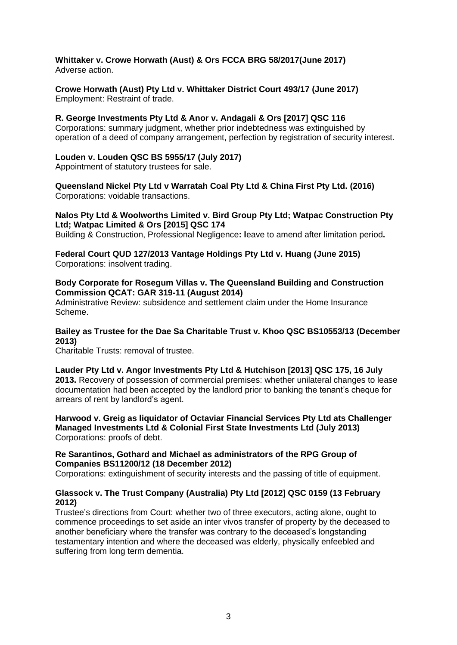**Whittaker v. Crowe Horwath (Aust) & Ors FCCA BRG 58/2017(June 2017)** Adverse action.

**Crowe Horwath (Aust) Pty Ltd v. Whittaker District Court 493/17 (June 2017)** Employment: Restraint of trade.

**R. George Investments Pty Ltd & Anor v. Andagali & Ors [2017] QSC 116** Corporations: summary judgment, whether prior indebtedness was extinguished by operation of a deed of company arrangement, perfection by registration of security interest.

#### **Louden v. Louden QSC BS 5955/17 (July 2017)**

Appointment of statutory trustees for sale.

**Queensland Nickel Pty Ltd v Warratah Coal Pty Ltd & China First Pty Ltd. (2016)** Corporations: voidable transactions.

#### **Nalos Pty Ltd & Woolworths Limited v. Bird Group Pty Ltd; Watpac Construction Pty Ltd; Watpac Limited & Ors [2015] QSC 174**

Building & Construction, Professional Negligence**: l**eave to amend after limitation period**.** 

**Federal Court QUD 127/2013 Vantage Holdings Pty Ltd v. Huang (June 2015)** Corporations: insolvent trading.

#### **Body Corporate for Rosegum Villas v. The Queensland Building and Construction Commission QCAT: GAR 319-11 (August 2014)**

Administrative Review: subsidence and settlement claim under the Home Insurance Scheme.

#### **Bailey as Trustee for the Dae Sa Charitable Trust v. Khoo QSC BS10553/13 (December 2013)**

Charitable Trusts: removal of trustee.

**Lauder Pty Ltd v. Angor Investments Pty Ltd & Hutchison [2013] QSC 175, 16 July 2013.** Recovery of possession of commercial premises: whether unilateral changes to lease documentation had been accepted by the landlord prior to banking the tenant's cheque for arrears of rent by landlord's agent.

**Harwood v. Greig as liquidator of Octaviar Financial Services Pty Ltd ats Challenger Managed Investments Ltd & Colonial First State Investments Ltd (July 2013)** Corporations: proofs of debt.

#### **Re Sarantinos, Gothard and Michael as administrators of the RPG Group of Companies BS11200/12 (18 December 2012)**

Corporations: extinguishment of security interests and the passing of title of equipment.

# **Glassock v. The Trust Company (Australia) Pty Ltd [2012] QSC 0159 (13 February 2012)**

Trustee's directions from Court: whether two of three executors, acting alone, ought to commence proceedings to set aside an inter vivos transfer of property by the deceased to another beneficiary where the transfer was contrary to the deceased's longstanding testamentary intention and where the deceased was elderly, physically enfeebled and suffering from long term dementia.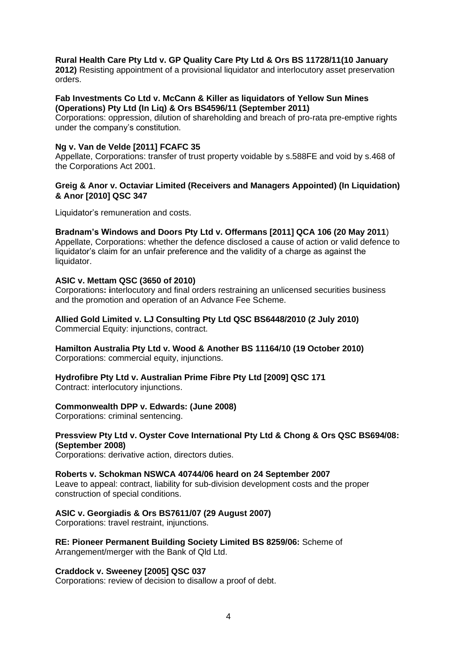#### **Rural Health Care Pty Ltd v. GP Quality Care Pty Ltd & Ors BS 11728/11(10 January**

**2012)** Resisting appointment of a provisional liquidator and interlocutory asset preservation orders.

#### **Fab Investments Co Ltd v. McCann & Killer as liquidators of Yellow Sun Mines (Operations) Pty Ltd (In Liq) & Ors BS4596/11 (September 2011)**

Corporations: oppression, dilution of shareholding and breach of pro-rata pre-emptive rights under the company's constitution.

#### **Ng v. Van de Velde [2011] FCAFC 35**

Appellate, Corporations: transfer of trust property voidable by s.588FE and void by s.468 of the Corporations Act 2001.

# **Greig & Anor v. Octaviar Limited (Receivers and Managers Appointed) (In Liquidation) & Anor [2010] QSC 347**

Liquidator's remuneration and costs.

#### **Bradnam's Windows and Doors Pty Ltd v. Offermans [2011] QCA 106 (20 May 2011**)

Appellate, Corporations: whether the defence disclosed a cause of action or valid defence to liquidator's claim for an unfair preference and the validity of a charge as against the liquidator.

#### **ASIC v. Mettam QSC (3650 of 2010)**

Corporations**: i**nterlocutory and final orders restraining an unlicensed securities business and the promotion and operation of an Advance Fee Scheme.

# **Allied Gold Limited v. LJ Consulting Pty Ltd QSC BS6448/2010 (2 July 2010)**

Commercial Equity: injunctions, contract.

# **Hamilton Australia Pty Ltd v. Wood & Another BS 11164/10 (19 October 2010)**

Corporations: commercial equity, injunctions.

# **Hydrofibre Pty Ltd v. Australian Prime Fibre Pty Ltd [2009] QSC 171**

Contract: interlocutory injunctions.

# **Commonwealth DPP v. Edwards: (June 2008)**

Corporations: criminal sentencing.

#### **Pressview Pty Ltd v. Oyster Cove International Pty Ltd & Chong & Ors QSC BS694/08: (September 2008)**

Corporations: derivative action, directors duties.

#### **Roberts v. Schokman NSWCA 40744/06 heard on 24 September 2007**

Leave to appeal: contract, liability for sub-division development costs and the proper construction of special conditions.

# **ASIC v. Georgiadis & Ors BS7611/07 (29 August 2007)**

Corporations: travel restraint, injunctions.

# **RE: Pioneer Permanent Building Society Limited BS 8259/06:** Scheme of

Arrangement/merger with the Bank of Qld Ltd.

#### **Craddock v. Sweeney [2005] QSC 037**

Corporations: review of decision to disallow a proof of debt.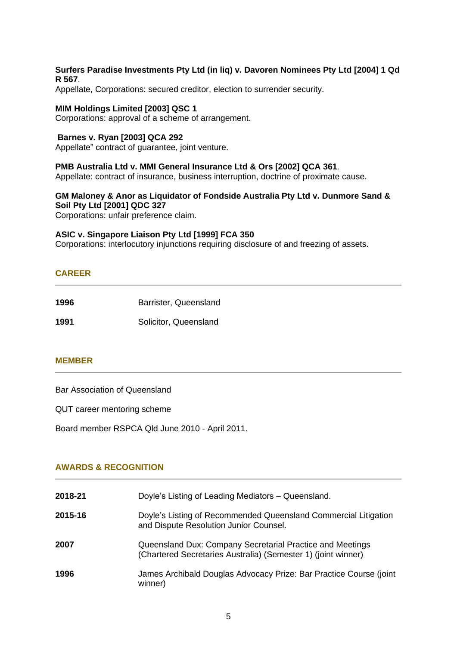#### **Surfers Paradise Investments Pty Ltd (in liq) v. Davoren Nominees Pty Ltd [2004] 1 Qd R 567**.

Appellate, Corporations: secured creditor, election to surrender security.

#### **MIM Holdings Limited [2003] QSC 1**

Corporations: approval of a scheme of arrangement.

#### **Barnes v. Ryan [2003] QCA 292**

Appellate" contract of guarantee, joint venture.

#### **PMB Australia Ltd v. MMI General Insurance Ltd & Ors [2002] QCA 361***.*

Appellate: contract of insurance, business interruption, doctrine of proximate cause.

# **GM Maloney & Anor as Liquidator of Fondside Australia Pty Ltd v. Dunmore Sand & Soil Pty Ltd [2001] QDC 327**

Corporations: unfair preference claim.

#### **ASIC v. Singapore Liaison Pty Ltd [1999] FCA 350**

Corporations: interlocutory injunctions requiring disclosure of and freezing of assets.

# **CAREER**

| 1996 | Barrister, Queensland |  |
|------|-----------------------|--|
| 1991 | Solicitor, Queensland |  |

#### **MEMBER**

Bar Association of Queensland

QUT career mentoring scheme

Board member RSPCA Qld June 2010 - April 2011.

# **AWARDS & RECOGNITION**

| 2018-21 | Doyle's Listing of Leading Mediators - Queensland.                                                                         |
|---------|----------------------------------------------------------------------------------------------------------------------------|
| 2015-16 | Doyle's Listing of Recommended Queensland Commercial Litigation<br>and Dispute Resolution Junior Counsel.                  |
| 2007    | Queensland Dux: Company Secretarial Practice and Meetings<br>(Chartered Secretaries Australia) (Semester 1) (joint winner) |
| 1996    | James Archibald Douglas Advocacy Prize: Bar Practice Course (joint<br>winner)                                              |